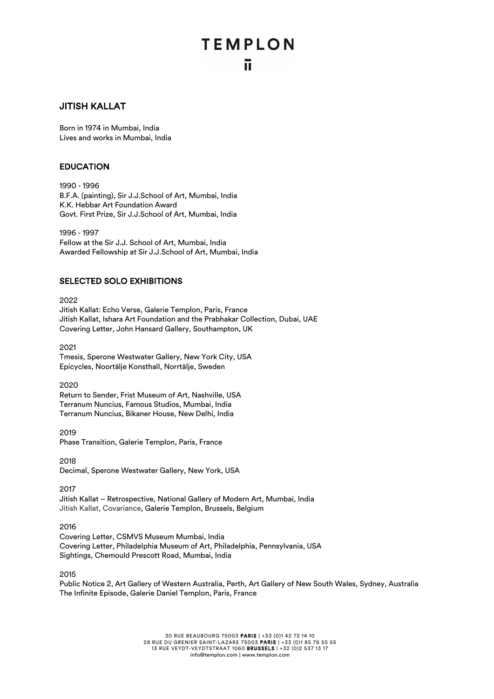## **TEMPLON** ū.

## JITISH KALLAT

Born in 1974 in Mumbai, India Lives and works in Mumbai, India

## EDUCATION

1990 - 1996 B.F.A. (painting), Sir J.J.School of Art, Mumbai, India K.K. Hebbar Art Foundation Award Govt. First Prize, Sir J.J.School of Art, Mumbai, India

1996 - 1997 Fellow at the Sir J.J. School of Art, Mumbai, India Awarded Fellowship at Sir J.J.School of Art, Mumbai, India

## SELECTED SOLO EXHIBITIONS

2022 Jitish Kallat: Echo Verse, Galerie Templon, Paris, France Jitish Kallat, Ishara Art Foundation and the Prabhakar Collection, Dubai, UAE Covering Letter, John Hansard Gallery, Southampton, UK

2021 Tmesis, Sperone Westwater Gallery, New York City, USA Epicycles, Noortälje Konsthall, Norrtälje, Sweden

2020 Return to Sender, Frist Museum of Art, Nashville, USA Terranum Nuncius, Famous Studios, Mumbai, India Terranum Nuncius, Bikaner House, New Delhi, India

2019 Phase Transition, Galerie Templon, Paris, France

2018 Decimal, Sperone Westwater Gallery, New York, USA

2017

Jitish Kallat – Retrospective, National Gallery of Modern Art, Mumbai, India Jitish Kallat, Covariance, Galerie Templon, Brussels, Belgium

2016

Covering Letter, CSMVS Museum Mumbai, India Covering Letter, Philadelphia Museum of Art, Philadelphia, Pennsylvania, USA Sightings, Chemould Prescott Road, Mumbai, India

2015

Public Notice 2, Art Gallery of Western Australia, Perth, Art Gallery of New South Wales, Sydney, Australia The Infinite Episode, Galerie Daniel Templon, Paris, France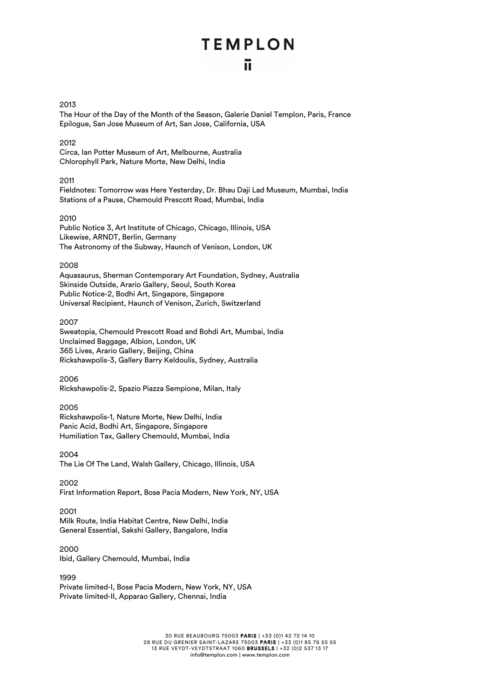### 2013

The Hour of the Day of the Month of the Season, Galerie Daniel Templon, Paris, France Epilogue, San Jose Museum of Art, San Jose, California, USA

## 2012

Circa, Ian Potter Museum of Art, Melbourne, Australia Chlorophyll Park, Nature Morte, New Delhi, India

## 2011

Fieldnotes: Tomorrow was Here Yesterday, Dr. Bhau Daji Lad Museum, Mumbai, India Stations of a Pause, Chemould Prescott Road, Mumbai, India

## 2010

Public Notice 3, Art Institute of Chicago, Chicago, Illinois, USA Likewise, ARNDT, Berlin, Germany The Astronomy of the Subway, Haunch of Venison, London, UK

## 2008

Aquasaurus, Sherman Contemporary Art Foundation, Sydney, Australia Skinside Outside, Arario Gallery, Seoul, South Korea Public Notice-2, Bodhi Art, Singapore, Singapore Universal Recipient, Haunch of Venison, Zurich, Switzerland

## 2007

Sweatopia, Chemould Prescott Road and Bohdi Art, Mumbai, India Unclaimed Baggage, Albion, London, UK 365 Lives, Arario Gallery, Beijing, China Rickshawpolis-3, Gallery Barry Keldoulis, Sydney, Australia

## 2006

Rickshawpolis-2, Spazio Piazza Sempione, Milan, Italy

## 2005

Rickshawpolis-1, Nature Morte, New Delhi, India Panic Acid, Bodhi Art, Singapore, Singapore Humiliation Tax, Gallery Chemould, Mumbai, India

2004

The Lie Of The Land, Walsh Gallery, Chicago, Illinois, USA

## 2002

First Information Report, Bose Pacia Modern, New York, NY, USA

## 2001

Milk Route, India Habitat Centre, New Delhi, India General Essential, Sakshi Gallery, Bangalore, India

## 2000

Ibid, Gallery Chemould, Mumbai, India

## 1999

Private limited-I, Bose Pacia Modern, New York, NY, USA Private limited-II, Apparao Gallery, Chennai, India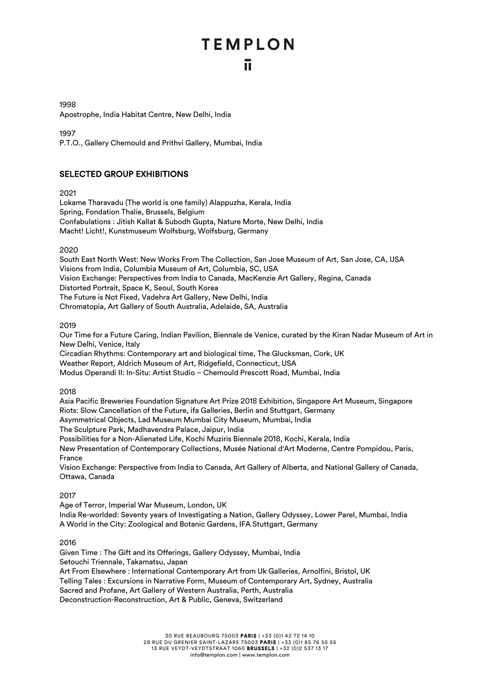1998 Apostrophe, India Habitat Centre, New Delhi, India

1997

P.T.O., Gallery Chemould and Prithvi Gallery, Mumbai, India

## SELECTED GROUP EXHIBITIONS

2021

Lokame Tharavadu (The world is one family) Alappuzha, Kerala, India Spring, Fondation Thalie, Brussels, Belgium Confabulations : Jitish Kallat & Subodh Gupta, Nature Morte, New Delhi, India Macht! Licht!, Kunstmuseum Wolfsburg, Wolfsburg, Germany

2020

South East North West: New Works From The Collection, San Jose Museum of Art, San Jose, CA, USA Visions from India, Columbia Museum of Art, Columbia, SC, USA Vision Exchange: Perspectives from India to Canada, MacKenzie Art Gallery, Regina, Canada Distorted Portrait, Space K, Seoul, South Korea The Future is Not Fixed, Vadehra Art Gallery, New Delhi, India Chromatopia, Art Gallery of South Australia, Adelaide, SA, Australia

2019

Our Time for a Future Caring, Indian Pavilion, Biennale de Venice, curated by the Kiran Nadar Museum of Art in New Delhi, Venice, Italy

Circadian Rhythms: Contemporary art and biological time, The Glucksman, Cork, UK

Weather Report, Aldrich Museum of Art, Ridgefield, Connecticut, USA

Modus Operandi II: In-Situ: Artist Studio – Chemould Prescott Road, Mumbai, India

2018

Asia Pacific Breweries Foundation Signature Art Prize 2018 Exhibition, Singapore Art Museum, Singapore Riots: Slow Cancellation of the Future, ifa Galleries, Berlin and Stuttgart, Germany Asymmetrical Objects, Lad Museum Mumbai City Museum, Mumbai, India The Sculpture Park, Madhavendra Palace, Jaipur, India Possibilities for a Non-Alienated Life, Kochi Muziris Biennale 2018, Kochi, Kerala, India New Presentation of Contemporary Collections, Musée National d'Art Moderne, Centre Pompidou, Paris, France

Vision Exchange: Perspective from India to Canada, Art Gallery of Alberta, and National Gallery of Canada, Ottawa, Canada

2017

Age of Terror, Imperial War Museum, London, UK India Re-worlded: Seventy years of Investigating a Nation, Gallery Odyssey, Lower Parel, Mumbai, India A World in the City: Zoological and Botanic Gardens, IFA Stuttgart, Germany

2016

Given Time : The Gift and its Offerings, Gallery Odyssey, Mumbai, India Setouchi Triennale, Takamatsu, Japan Art From Elsewhere : International Contemporary Art from Uk Galleries, Arnolfini, Bristol, UK Telling Tales : Excursions in Narrative Form, Museum of Contemporary Art, Sydney, Australia Sacred and Profane, Art Gallery of Western Australia, Perth, Australia Deconstruction-Reconstruction, Art & Public, Geneva, Switzerland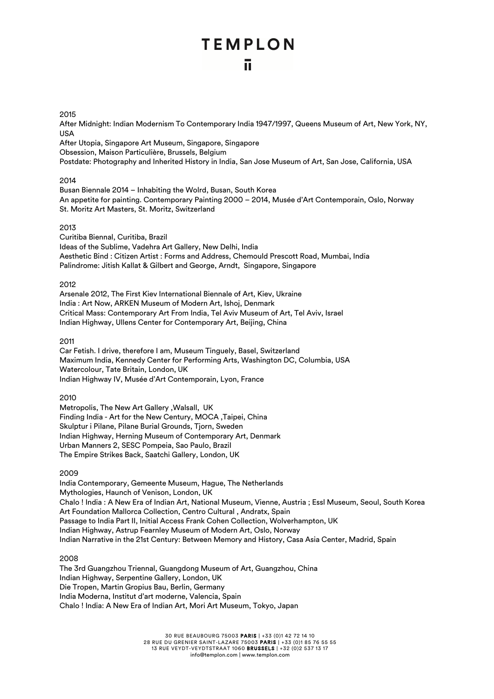## ū

## 2015

After Midnight: Indian Modernism To Contemporary India 1947/1997, Queens Museum of Art, New York, NY, USA

After Utopia, Singapore Art Museum, Singapore, Singapore Obsession, Maison Particulière, Brussels, Belgium Postdate: Photography and Inherited History in India, San Jose Museum of Art, San Jose, California, USA

## 2014

Busan Biennale 2014 – Inhabiting the Wolrd, Busan, South Korea An appetite for painting. Contemporary Painting 2000 – 2014, Musée d'Art Contemporain, Oslo, Norway St. Moritz Art Masters, St. Moritz, Switzerland

## 2013

Curitiba Biennal, Curitiba, Brazil Ideas of the Sublime, Vadehra Art Gallery, New Delhi, India Aesthetic Bind : Citizen Artist : Forms and Address, Chemould Prescott Road, Mumbai, India Palindrome: Jitish Kallat & Gilbert and George, Arndt, Singapore, Singapore

## 2012

Arsenale 2012, The First Kiev International Biennale of Art, Kiev, Ukraine India : Art Now, ARKEN Museum of Modern Art, Ishoj, Denmark Critical Mass: Contemporary Art From India, Tel Aviv Museum of Art, Tel Aviv, Israel Indian Highway, Ullens Center for Contemporary Art, Beijing, China

2011

Car Fetish. I drive, therefore I am, Museum Tinguely, Basel, Switzerland Maximum India, Kennedy Center for Performing Arts, Washington DC, Columbia, USA Watercolour, Tate Britain, London, UK Indian Highway IV, Musée d'Art Contemporain, Lyon, France

2010

Metropolis, The New Art Gallery ,Walsall, UK Finding India - Art for the New Century, MOCA ,Taipei, China Skulptur i Pilane, Pilane Burial Grounds, Tjorn, Sweden Indian Highway, Herning Museum of Contemporary Art, Denmark Urban Manners 2, SESC Pompeia, Sao Paulo, Brazil The Empire Strikes Back, Saatchi Gallery, London, UK

## 2009

India Contemporary, Gemeente Museum, Hague, The Netherlands Mythologies, Haunch of Venison, London, UK Chalo ! India : A New Era of Indian Art, National Museum, Vienne, Austria ; Essl Museum, Seoul, South Korea Art Foundation Mallorca Collection, Centro Cultural , Andratx, Spain Passage to India Part II, Initial Access Frank Cohen Collection, Wolverhampton, UK Indian Highway, Astrup Fearnley Museum of Modern Art, Oslo, Norway Indian Narrative in the 21st Century: Between Memory and History, Casa Asia Center, Madrid, Spain

## 2008

The 3rd Guangzhou Triennal, Guangdong Museum of Art, Guangzhou, China Indian Highway, Serpentine Gallery, London, UK Die Tropen, Martin Gropius Bau, Berlin, Germany India Moderna, Institut d'art moderne, Valencia, Spain Chalo ! India: A New Era of Indian Art, Mori Art Museum, Tokyo, Japan

> 30 RUE BEAUBOURG 75003 PARIS | +33 (0)1 42 72 14 10 28 RUE DU GRENIER SAINT-LAZARE 75003 PARIS | +33 (0)1 85 76 55 55 13 RUE VEYDT-VEYDTSTRAAT 1060 BRUSSELS | +32 (0)2 537 13 17 info@templon.com | www.templon.com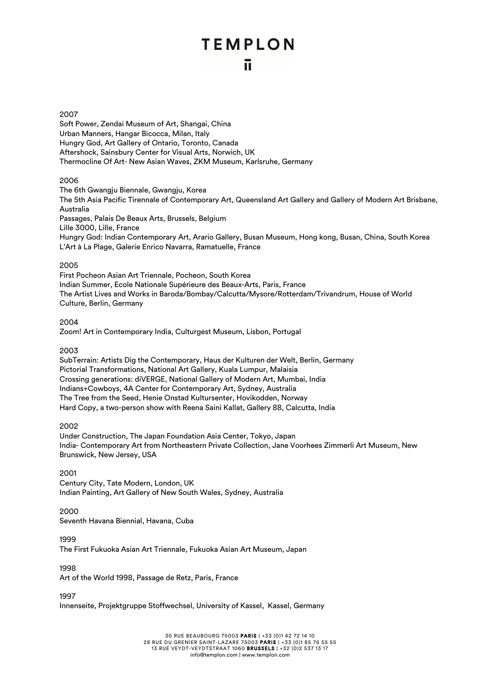#### 2007

Soft Power, Zendai Museum of Art, Shangai, China Urban Manners, Hangar Bicocca, Milan, Italy Hungry God, Art Gallery of Ontario, Toronto, Canada Aftershock, Sainsbury Center for Visual Arts, Norwich, UK Thermocline Of Art- New Asian Waves, ZKM Museum, Karlsruhe, Germany

## 2006

The 6th Gwangju Biennale, Gwangju, Korea The 5th Asia Pacific Tirennale of Contemporary Art, Queensland Art Gallery and Gallery of Modern Art Brisbane, Australia Passages, Palais De Beaux Arts, Brussels, Belgium Lille 3000, Lille, France Hungry God: Indian Contemporary Art, Arario Gallery, Busan Museum, Hong kong, Busan, China, South Korea L'Art à La Plage, Galerie Enrico Navarra, Ramatuelle, France

### 2005

First Pocheon Asian Art Triennale, Pocheon, South Korea Indian Summer, Ecole Nationale Supérieure des Beaux-Arts, Paris, France The Artist Lives and Works in Baroda/Bombay/Calcutta/Mysore/Rotterdam/Trivandrum, House of World Culture, Berlin, Germany

2004

Zoom! Art in Contemporary India, Culturgest Museum, Lisbon, Portugal

2003

SubTerrain: Artists Dig the Contemporary, Haus der Kulturen der Welt, Berlin, Germany Pictorial Transformations, National Art Gallery, Kuala Lumpur, Malaisia Crossing generations: diVERGE, National Gallery of Modern Art, Mumbai, India Indians+Cowboys, 4A Center for Contemporary Art, Sydney, Australia The Tree from the Seed, Henie Onstad Kultursenter, Hovikodden, Norway Hard Copy, a two-person show with Reena Saini Kallat, Gallery 88, Calcutta, India

### 2002

Under Construction, The Japan Foundation Asia Center, Tokyo, Japan India- Contemporary Art from Northeastern Private Collection, Jane Voorhees Zimmerli Art Museum, New Brunswick, New Jersey, USA

### 2001

Century City, Tate Modern, London, UK Indian Painting, Art Gallery of New South Wales, Sydney, Australia

## 2000

Seventh Havana Biennial, Havana, Cuba

## 1999

The First Fukuoka Asian Art Triennale, Fukuoka Asian Art Museum, Japan

## 1998

Art of the World 1998, Passage de Retz, Paris, France

1997

Innenseite, Projektgruppe Stoffwechsel, University of Kassel, Kassel, Germany